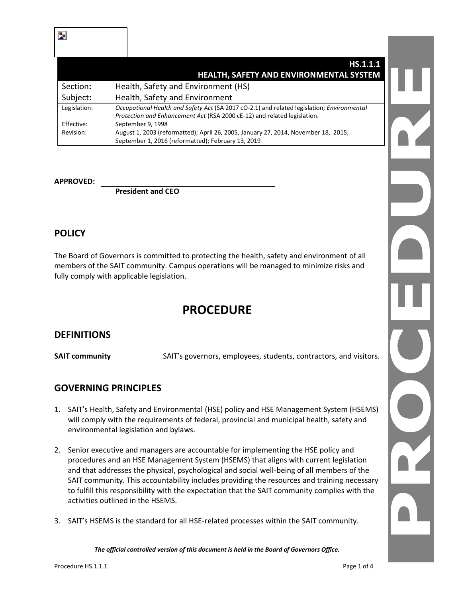Ъ,

|              | HS.1.1.1                                                                                   |  |
|--------------|--------------------------------------------------------------------------------------------|--|
|              | HEALTH, SAFETY AND ENVIRONMENTAL SYSTEM                                                    |  |
| Section:     | Health, Safety and Environment (HS)                                                        |  |
| Subject:     | Health, Safety and Environment                                                             |  |
| Legislation: | Occupational Health and Safety Act (SA 2017 cO-2.1) and related legislation; Environmental |  |
|              | Protection and Enhancement Act (RSA 2000 cE-12) and related legislation.                   |  |
| Effective:   | September 9, 1998                                                                          |  |
| Revision:    | August 1, 2003 (reformatted); April 26, 2005, January 27, 2014, November 18, 2015;         |  |
|              | September 1, 2016 (reformatted); February 13, 2019                                         |  |

#### **APPROVED:**

**President and CEO**

### **POLICY**

The Board of Governors is committed to protecting the health, safety and environment of all members of the SAIT community. Campus operations will be managed to minimize risks and fully comply with applicable legislation.

# **PROCEDURE**

#### **DEFINITIONS**

**SAIT community** SAIT's governors, employees, students, contractors, and visitors.

## **GOVERNING PRINCIPLES**

- 1. SAIT's Health, Safety and Environmental (HSE) policy and HSE Management System (HSEMS) will comply with the requirements of federal, provincial and municipal health, safety and environmental legislation and bylaws.
- 2. Senior executive and managers are accountable for implementing the HSE policy and procedures and an HSE Management System (HSEMS) that aligns with current legislation and that addresses the physical, psychological and social well-being of all members of the SAIT community. This accountability includes providing the resources and training necessary to fulfill this responsibility with the expectation that the SAIT community complies with the activities outlined in the HSEMS.
- 3. SAIT's HSEMS is the standard for all HSE-related processes within the SAIT community.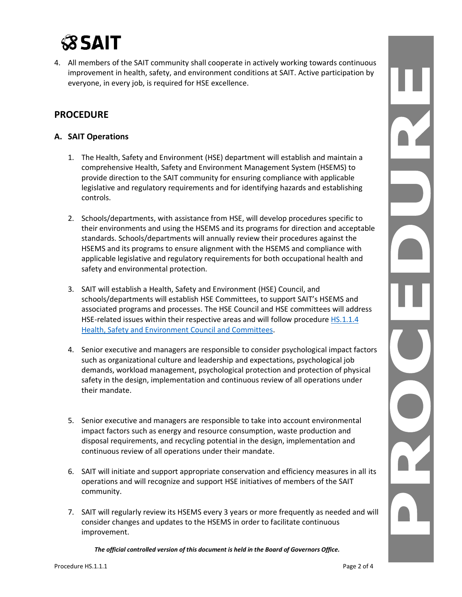# **SSAIT**

4. All members of the SAIT community shall cooperate in actively working towards continuous improvement in health, safety, and environment conditions at SAIT. Active participation by everyone, in every job, is required for HSE excellence.

# **PROCEDURE**

#### **A. SAIT Operations**

- 1. The Health, Safety and Environment (HSE) department will establish and maintain a comprehensive Health, Safety and Environment Management System (HSEMS) to provide direction to the SAIT community for ensuring compliance with applicable legislative and regulatory requirements and for identifying hazards and establishing controls.
- 2. Schools/departments, with assistance from HSE, will develop procedures specific to their environments and using the HSEMS and its programs for direction and acceptable standards. Schools/departments will annually review their procedures against the HSEMS and its programs to ensure alignment with the HSEMS and compliance with applicable legislative and regulatory requirements for both occupational health and safety and environmental protection.
- 3. SAIT will establish a Health, Safety and Environment (HSE) Council, and schools/departments will establish HSE Committees, to support SAIT's HSEMS and associated programs and processes. The HSE Council and HSE committees will address HSE-related issues within their respective areas and will follow procedur[e HS.1.1.4](https://www.sait.ca/assets/documents/about-sait/policies-and-procedures/health-safety-and-environment/hs-1-1-4-health-safety-and-environment-council-and-committees.pdf)  [Health, Safety and Environment Council](https://www.sait.ca/assets/documents/about-sait/policies-and-procedures/health-safety-and-environment/hs-1-1-4-health-safety-and-environment-council-and-committees.pdf) and Committees.
- 4. Senior executive and managers are responsible to consider psychological impact factors such as organizational culture and leadership and expectations, psychological job demands, workload management, psychological protection and protection of physical safety in the design, implementation and continuous review of all operations under their mandate.
- 5. Senior executive and managers are responsible to take into account environmental impact factors such as energy and resource consumption, waste production and disposal requirements, and recycling potential in the design, implementation and continuous review of all operations under their mandate.
- 6. SAIT will initiate and support appropriate conservation and efficiency measures in all its operations and will recognize and support HSE initiatives of members of the SAIT community.
- 7. SAIT will regularly review its HSEMS every 3 years or more frequently as needed and will consider changes and updates to the HSEMS in order to facilitate continuous improvement.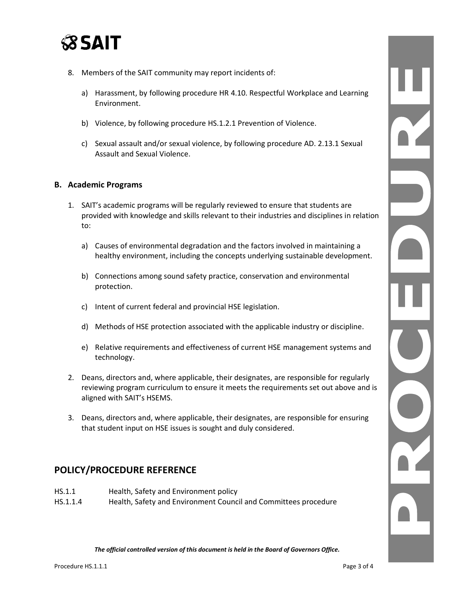

- 8. Members of the SAIT community may report incidents of:
	- a) Harassment, by following procedure HR 4.10. Respectful Workplace and Learning Environment.
	- b) Violence, by following procedure HS.1.2.1 Prevention of Violence.
	- c) Sexual assault and/or sexual violence, by following procedure AD. 2.13.1 Sexual Assault and Sexual Violence.

#### **B. Academic Programs**

- 1. SAIT's academic programs will be regularly reviewed to ensure that students are provided with knowledge and skills relevant to their industries and disciplines in relation to:
	- a) Causes of environmental degradation and the factors involved in maintaining a healthy environment, including the concepts underlying sustainable development.
	- b) Connections among sound safety practice, conservation and environmental protection.
	- c) Intent of current federal and provincial HSE legislation.
	- d) Methods of HSE protection associated with the applicable industry or discipline.
	- e) Relative requirements and effectiveness of current HSE management systems and technology.
- 2. Deans, directors and, where applicable, their designates, are responsible for regularly reviewing program curriculum to ensure it meets the requirements set out above and is aligned with SAIT's HSEMS.
- 3. Deans, directors and, where applicable, their designates, are responsible for ensuring that student input on HSE issues is sought and duly considered.

## **POLICY/PROCEDURE REFERENCE**

- HS.1.1 Health, Safety and Environment policy
- HS.1.1.4 Health, Safety and Environment Council and Committees procedure